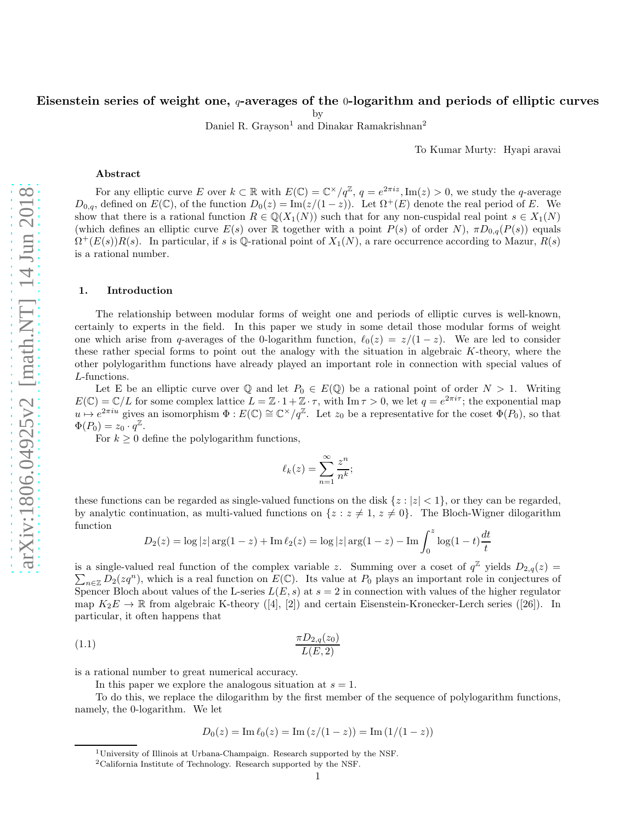# Eisenstein series of weight one,  $q$ -averages of the  $0$ -logarithm and periods of elliptic curves

by

Daniel R. Grayson<sup>1</sup> and Dinakar Ramakrishnan<sup>2</sup>

To Kumar Murty: Hyapi aravai

#### Abstract

For any elliptic curve E over  $k \subset \mathbb{R}$  with  $E(\mathbb{C}) = \mathbb{C}^{\times}/q^{\mathbb{Z}}$ ,  $q = e^{2\pi i z}$ ,  $\text{Im}(z) > 0$ , we study the q-average  $D_{0,q}$ , defined on  $E(\mathbb{C})$ , of the function  $D_0(z) = \text{Im}(z/(1-z))$ . Let  $\Omega^+(E)$  denote the real period of E. We show that there is a rational function  $R \in \mathbb{Q}(X_1(N))$  such that for any non-cuspidal real point  $s \in X_1(N)$ (which defines an elliptic curve  $E(s)$  over R together with a point  $P(s)$  of order N),  $\pi D_{0,q}(P(s))$  equals  $\Omega^+(E(s))R(s)$ . In particular, if s is Q-rational point of  $X_1(N)$ , a rare occurrence according to Mazur,  $R(s)$ is a rational number.

#### 1. Introduction

The relationship between modular forms of weight one and periods of elliptic curves is well-known, certainly to experts in the field. In this paper we study in some detail those modular forms of weight one which arise from q-averages of the 0-logarithm function,  $\ell_0(z) = z/(1-z)$ . We are led to consider these rather special forms to point out the analogy with the situation in algebraic K-theory, where the other polylogarithm functions have already played an important role in connection with special values of L-functions.

Let E be an elliptic curve over  $\mathbb Q$  and let  $P_0 \in E(\mathbb Q)$  be a rational point of order  $N > 1$ . Writing  $E(\mathbb{C}) = \mathbb{C}/L$  for some complex lattice  $L = \mathbb{Z} \cdot 1 + \mathbb{Z} \cdot \tau$ , with  $\text{Im} \tau > 0$ , we let  $q = e^{2\pi i \tau}$ ; the exponential map  $u \mapsto e^{2\pi i u}$  gives an isomorphism  $\Phi: E(\mathbb{C}) \cong \mathbb{C}^\times/q^\mathbb{Z}$ . Let  $z_0$  be a representative for the coset  $\Phi(P_0)$ , so that  $\Phi(P_0) = z_0 \cdot q^{\mathbb{Z}}$ .

For  $k \geq 0$  define the polylogarithm functions,

$$
\ell_k(z) = \sum_{n=1}^{\infty} \frac{z^n}{n^k};
$$

these functions can be regarded as single-valued functions on the disk  $\{z : |z| < 1\}$ , or they can be regarded, by analytic continuation, as multi-valued functions on  $\{z : z \neq 1, z \neq 0\}$ . The Bloch-Wigner dilogarithm function

$$
D_2(z) = \log|z| \arg(1-z) + \operatorname{Im} \ell_2(z) = \log|z| \arg(1-z) - \operatorname{Im} \int_0^z \log(1-t) \frac{dt}{t}
$$

is a single-valued real function of the complex variable z. Summing over a coset of  $q^{\mathbb{Z}}$  yields  $D_{2,q}(z)$  $\sum_{n\in\mathbb{Z}}D_2(zq^n)$ , which is a real function on  $E(\mathbb{C})$ . Its value at  $P_0$  plays an important role in conjectures of Spencer Bloch about values of the L-series  $L(E, s)$  at  $s = 2$  in connection with values of the higher regulator map  $K_2E \to \mathbb{R}$  from algebraic K-theory ([4], [2]) and certain Eisenstein-Kronecker-Lerch series ([26]). In particular, it often happens that

$$
\frac{\pi D_{2,q}(z_0)}{L(E,2)}
$$

is a rational number to great numerical accuracy.

In this paper we explore the analogous situation at  $s = 1$ .

To do this, we replace the dilogarithm by the first member of the sequence of polylogarithm functions, namely, the 0-logarithm. We let

$$
D_0(z) = \operatorname{Im} \ell_0(z) = \operatorname{Im} (z/(1-z)) = \operatorname{Im} (1/(1-z))
$$

<sup>1</sup>University of Illinois at Urbana-Champaign. Research supported by the NSF.

<sup>2</sup>California Institute of Technology. Research supported by the NSF.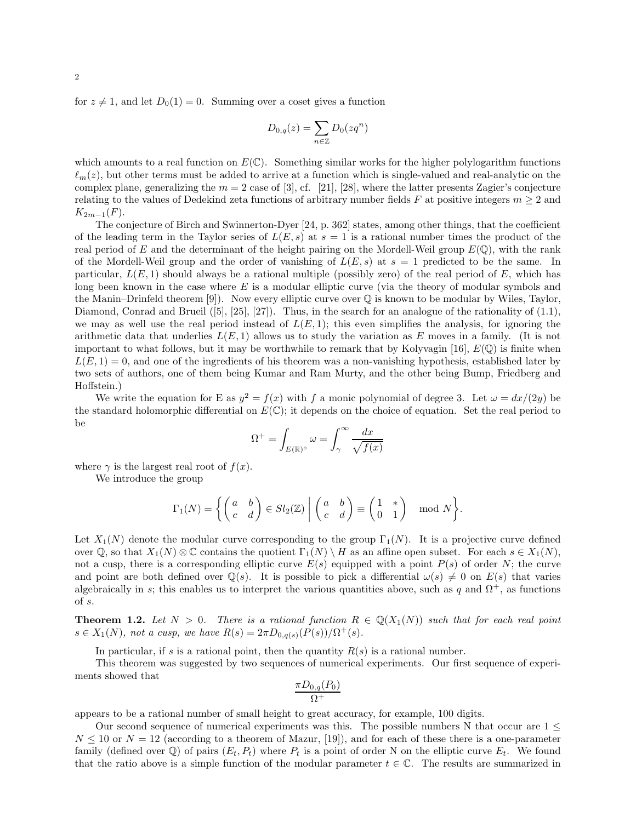for  $z \neq 1$ , and let  $D_0(1) = 0$ . Summing over a coset gives a function

$$
D_{0,q}(z) = \sum_{n \in \mathbb{Z}} D_0(zq^n)
$$

which amounts to a real function on  $E(\mathbb{C})$ . Something similar works for the higher polylogarithm functions  $\ell_m(z)$ , but other terms must be added to arrive at a function which is single-valued and real-analytic on the complex plane, generalizing the  $m = 2$  case of [3], cf. [21], [28], where the latter presents Zagier's conjecture relating to the values of Dedekind zeta functions of arbitrary number fields F at positive integers  $m \geq 2$  and  $K_{2m-1}(F)$ .

The conjecture of Birch and Swinnerton-Dyer [24, p. 362] states, among other things, that the coefficient of the leading term in the Taylor series of  $L(E, s)$  at  $s = 1$  is a rational number times the product of the real period of E and the determinant of the height pairing on the Mordell-Weil group  $E(\mathbb{Q})$ , with the rank of the Mordell-Weil group and the order of vanishing of  $L(E, s)$  at  $s = 1$  predicted to be the same. In particular,  $L(E, 1)$  should always be a rational multiple (possibly zero) of the real period of  $E$ , which has long been known in the case where E is a modular elliptic curve (via the theory of modular symbols and the Manin–Drinfeld theorem [9]). Now every elliptic curve over  $\mathbb Q$  is known to be modular by Wiles, Taylor, Diamond, Conrad and Brueil ([5], [25], [27]). Thus, in the search for an analogue of the rationality of (1.1), we may as well use the real period instead of  $L(E, 1)$ ; this even simplifies the analysis, for ignoring the arithmetic data that underlies  $L(E, 1)$  allows us to study the variation as E moves in a family. (It is not important to what follows, but it may be worthwhile to remark that by Kolyvagin [16],  $E(\mathbb{Q})$  is finite when  $L(E, 1) = 0$ , and one of the ingredients of his theorem was a non-vanishing hypothesis, established later by two sets of authors, one of them being Kumar and Ram Murty, and the other being Bump, Friedberg and Hoffstein.)

We write the equation for E as  $y^2 = f(x)$  with f a monic polynomial of degree 3. Let  $\omega = dx/(2y)$  be the standard holomorphic differential on  $E(\mathbb{C})$ ; it depends on the choice of equation. Set the real period to be

$$
\Omega^+ = \int_{E(\mathbb{R})^\circ} \omega = \int_{\gamma}^\infty \frac{dx}{\sqrt{f(x)}}
$$

where  $\gamma$  is the largest real root of  $f(x)$ .

We introduce the group

$$
\Gamma_1(N) = \left\{ \begin{pmatrix} a & b \\ c & d \end{pmatrix} \in Sl_2(\mathbb{Z}) \middle| \begin{pmatrix} a & b \\ c & d \end{pmatrix} \equiv \begin{pmatrix} 1 & * \\ 0 & 1 \end{pmatrix} \mod N \right\}.
$$

Let  $X_1(N)$  denote the modular curve corresponding to the group  $\Gamma_1(N)$ . It is a projective curve defined over Q, so that  $X_1(N) \otimes \mathbb{C}$  contains the quotient  $\Gamma_1(N) \setminus H$  as an affine open subset. For each  $s \in X_1(N)$ , not a cusp, there is a corresponding elliptic curve  $E(s)$  equipped with a point  $P(s)$  of order N; the curve and point are both defined over  $\mathbb{Q}(s)$ . It is possible to pick a differential  $\omega(s) \neq 0$  on  $E(s)$  that varies algebraically in s; this enables us to interpret the various quantities above, such as q and  $\Omega^+$ , as functions of s.

**Theorem 1.2.** Let  $N > 0$ . There is a rational function  $R \in \mathbb{Q}(X_1(N))$  such that for each real point  $s \in X_1(N)$ , not a cusp, we have  $R(s) = 2\pi D_{0,q(s)}(P(s))/\Omega^+(s)$ .

In particular, if s is a rational point, then the quantity  $R(s)$  is a rational number.

This theorem was suggested by two sequences of numerical experiments. Our first sequence of experiments showed that

$$
\frac{\pi D_{0,q}(P_0)}{\Omega^+}
$$

appears to be a rational number of small height to great accuracy, for example, 100 digits.

Our second sequence of numerical experiments was this. The possible numbers N that occur are  $1 \leq$  $N \leq 10$  or  $N = 12$  (according to a theorem of Mazur, [19]), and for each of these there is a one-parameter family (defined over  $\mathbb Q$ ) of pairs  $(E_t, P_t)$  where  $P_t$  is a point of order N on the elliptic curve  $E_t$ . We found that the ratio above is a simple function of the modular parameter  $t \in \mathbb{C}$ . The results are summarized in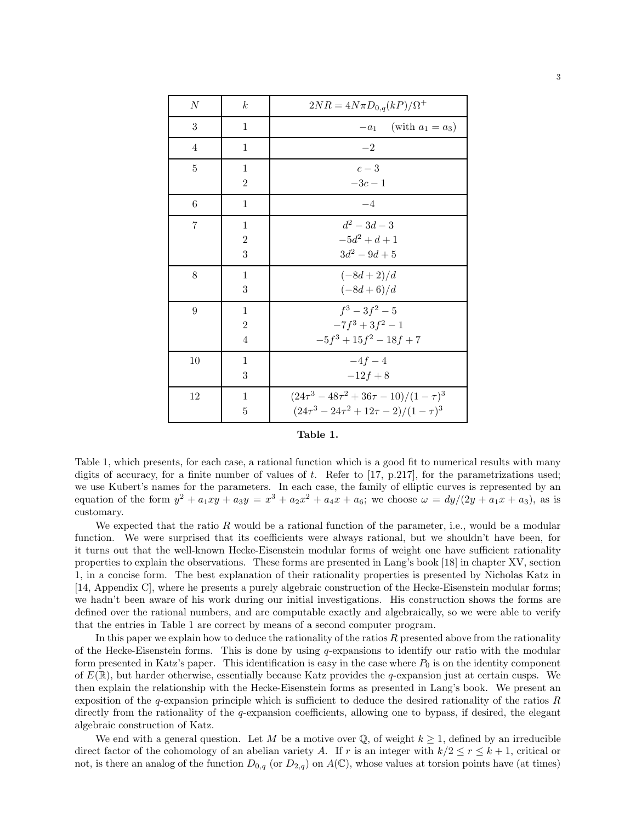| N              | $\boldsymbol{k}$ | $2NR = 4N\pi D_{0,q}(kP)/\Omega^+$                 |
|----------------|------------------|----------------------------------------------------|
| 3              | 1                | (with $a_1 = a_3$ )<br>$-a_1$                      |
| $\overline{4}$ | $\mathbf{1}$     | $-2$                                               |
| 5              | 1                | $c-3$                                              |
|                | $\overline{2}$   | $-3c - 1$                                          |
| 6              | 1                | $-4$                                               |
| 7              | 1                | $d^2 - 3d - 3$                                     |
|                | $\overline{2}$   | $-5d^2 + d + 1$                                    |
|                | 3                | $3d^2 - 9d + 5$                                    |
| 8              | 1                | $(-8d+2)/d$                                        |
|                | 3                | $(-8d+6)/d$                                        |
| 9              | 1                | $f^3-3f^2-5$                                       |
|                | $\overline{2}$   | $-7f^3+3f^2-1$                                     |
|                | $\overline{4}$   | $-5f^3 + 15f^2 - 18f + 7$                          |
| 10             | 1                | $-4f-4$                                            |
|                | 3                | $-12f + 8$                                         |
| 12             | 1                | $(24\tau^3 - 48\tau^2 + 36\tau - 10)/(1 - \tau)^3$ |
|                | 5                | $(24\tau^3 - 24\tau^2 + 12\tau - 2)/(1 - \tau)^3$  |

| abie |  |
|------|--|
|------|--|

Table 1, which presents, for each case, a rational function which is a good fit to numerical results with many digits of accuracy, for a finite number of values of t. Refer to  $[17, p.217]$ , for the parametrizations used; we use Kubert's names for the parameters. In each case, the family of elliptic curves is represented by an equation of the form  $y^2 + a_1xy + a_3y = x^3 + a_2x^2 + a_4x + a_6$ ; we choose  $\omega = dy/(2y + a_1x + a_3)$ , as is customary.

We expected that the ratio  $R$  would be a rational function of the parameter, i.e., would be a modular function. We were surprised that its coefficients were always rational, but we shouldn't have been, for it turns out that the well-known Hecke-Eisenstein modular forms of weight one have sufficient rationality properties to explain the observations. These forms are presented in Lang's book [18] in chapter XV, section 1, in a concise form. The best explanation of their rationality properties is presented by Nicholas Katz in [14, Appendix C], where he presents a purely algebraic construction of the Hecke-Eisenstein modular forms; we hadn't been aware of his work during our initial investigations. His construction shows the forms are defined over the rational numbers, and are computable exactly and algebraically, so we were able to verify that the entries in Table 1 are correct by means of a second computer program.

In this paper we explain how to deduce the rationality of the ratios  $R$  presented above from the rationality of the Hecke-Eisenstein forms. This is done by using  $q$ -expansions to identify our ratio with the modular form presented in Katz's paper. This identification is easy in the case where  $P_0$  is on the identity component of  $E(\mathbb{R})$ , but harder otherwise, essentially because Katz provides the q-expansion just at certain cusps. We then explain the relationship with the Hecke-Eisenstein forms as presented in Lang's book. We present an exposition of the  $q$ -expansion principle which is sufficient to deduce the desired rationality of the ratios  $R$ directly from the rationality of the q-expansion coefficients, allowing one to bypass, if desired, the elegant algebraic construction of Katz.

We end with a general question. Let M be a motive over  $\mathbb{Q}$ , of weight  $k \geq 1$ , defined by an irreducible direct factor of the cohomology of an abelian variety A. If r is an integer with  $k/2 \le r \le k+1$ , critical or not, is there an analog of the function  $D_{0,q}$  (or  $D_{2,q}$ ) on  $A(\mathbb{C})$ , whose values at torsion points have (at times)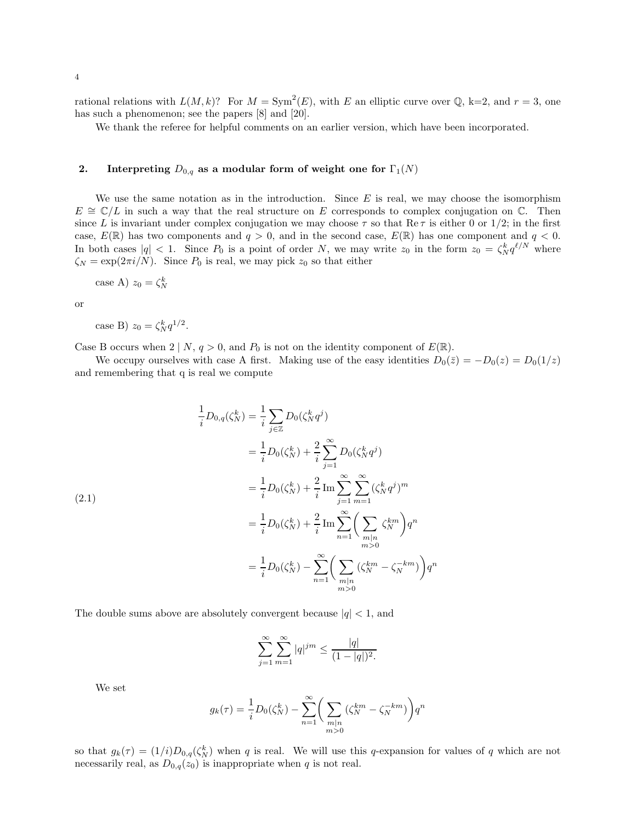rational relations with  $L(M, k)$ ? For  $M = \text{Sym}^2(E)$ , with E an elliptic curve over Q, k=2, and  $r = 3$ , one has such a phenomenon; see the papers [8] and [20].

We thank the referee for helpful comments on an earlier version, which have been incorporated.

# 2. Interpreting  $D_{0,q}$  as a modular form of weight one for  $\Gamma_1(N)$

We use the same notation as in the introduction. Since  $E$  is real, we may choose the isomorphism  $E \cong \mathbb{C}/L$  in such a way that the real structure on E corresponds to complex conjugation on  $\mathbb{C}$ . Then since L is invariant under complex conjugation we may choose  $\tau$  so that Re  $\tau$  is either 0 or 1/2; in the first case,  $E(\mathbb{R})$  has two components and  $q > 0$ , and in the second case,  $E(\mathbb{R})$  has one component and  $q < 0$ . In both cases  $|q| < 1$ . Since  $P_0$  is a point of order N, we may write  $z_0$  in the form  $z_0 = \zeta_N^k q^{\ell/N}$  where  $\zeta_N = \exp(2\pi i/N)$ . Since  $P_0$  is real, we may pick  $z_0$  so that either

case A) 
$$
z_0 = \zeta_N^k
$$

or

case B) 
$$
z_0 = \zeta_N^k q^{1/2}
$$
.

Case B occurs when  $2 \mid N, q > 0$ , and  $P_0$  is not on the identity component of  $E(\mathbb{R})$ .

We occupy ourselves with case A first. Making use of the easy identities  $D_0(\bar{z}) = -D_0(z) = D_0(1/z)$ and remembering that q is real we compute

$$
\frac{1}{i}D_{0,q}(\zeta_N^k) = \frac{1}{i} \sum_{j \in \mathbb{Z}} D_0(\zeta_N^k q^j)
$$
\n
$$
= \frac{1}{i} D_0(\zeta_N^k) + \frac{2}{i} \sum_{j=1}^{\infty} D_0(\zeta_N^k q^j)
$$
\n
$$
= \frac{1}{i} D_0(\zeta_N^k) + \frac{2}{i} \operatorname{Im} \sum_{j=1}^{\infty} \sum_{m=1}^{\infty} (\zeta_N^k q^j)^m
$$
\n
$$
= \frac{1}{i} D_0(\zeta_N^k) + \frac{2}{i} \operatorname{Im} \sum_{n=1}^{\infty} \left( \sum_{\substack{m|n \\ m>0}} \zeta_N^{km} \right) q^n
$$
\n
$$
= \frac{1}{i} D_0(\zeta_N^k) - \sum_{n=1}^{\infty} \left( \sum_{\substack{m|n \\ m>0}} (\zeta_N^{km} - \zeta_N^{-km}) \right) q^n
$$

The double sums above are absolutely convergent because  $|q| < 1$ , and

$$
\sum_{j=1}^{\infty} \sum_{m=1}^{\infty} |q|^{jm} \le \frac{|q|}{(1-|q|)^2}.
$$

We set

$$
g_k(\tau) = \frac{1}{i}D_0(\zeta_N^k) - \sum_{n=1}^{\infty} \bigg(\sum_{\substack{m|n\\m>0}}(\zeta_N^{km} - \zeta_N^{-km})\bigg)q^n
$$

so that  $g_k(\tau) = (1/i)D_{0,q}(\zeta_N^k)$  when q is real. We will use this q-expansion for values of q which are not necessarily real, as  $D_{0,q}(z_0)$  is inappropriate when q is not real.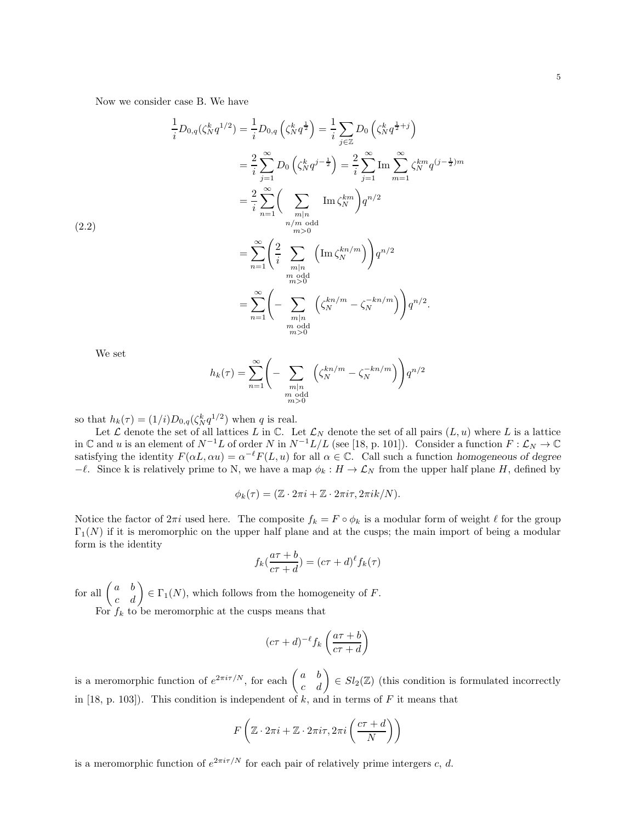Now we consider case B. We have

$$
\frac{1}{i}D_{0,q}(\zeta_N^k q^{1/2}) = \frac{1}{i}D_{0,q}\left(\zeta_N^k q^{\frac{1}{2}}\right) = \frac{1}{i}\sum_{j\in\mathbb{Z}}D_0\left(\zeta_N^k q^{\frac{1}{2}+j}\right)
$$
\n
$$
= \frac{2}{i}\sum_{j=1}^{\infty}D_0\left(\zeta_N^k q^{j-\frac{1}{2}}\right) = \frac{2}{i}\sum_{j=1}^{\infty}\operatorname{Im}\sum_{m=1}^{\infty}\zeta_N^{km}q^{(j-\frac{1}{2})m}
$$
\n
$$
= \frac{2}{i}\sum_{n=1}^{\infty}\left(\sum_{\substack{m|n \text{ odd} \\ m>0}}\operatorname{Im}\zeta_N^{km}\right)q^{n/2}
$$
\n
$$
= \sum_{n=1}^{\infty}\left(\frac{2}{i}\sum_{\substack{m|n \text{ odd} \\ m>0}}\left(\operatorname{Im}\zeta_N^{kn/m}\right)\right)q^{n/2}
$$
\n
$$
= \sum_{n=1}^{\infty}\left(-\sum_{\substack{m|n \text{ odd} \\ m>0}}\left(\zeta_N^{kn/m} - \zeta_N^{-kn/m}\right)\right)q^{n/2}.
$$

We set

(2.2)

$$
h_k(\tau) = \sum_{n=1}^{\infty} \left( -\sum_{\substack{m|n \ m \text{ odd} \\ m \text{ odd}}} \left( \zeta_N^{kn/m} - \zeta_N^{-kn/m} \right) \right) q^{n/2}
$$

so that  $h_k(\tau) = (1/i)D_{0,q}(\zeta_N^k q^{1/2})$  when q is real.

Let  $\mathcal L$  denote the set of all lattices L in  $\mathbb C$ . Let  $\mathcal L_N$  denote the set of all pairs  $(L, u)$  where L is a lattice in C and u is an element of  $N^{-1}L$  of order N in  $N^{-1}L/L$  (see [18, p. 101]). Consider a function  $F: \mathcal{L}_N \to \mathbb{C}$ satisfying the identity  $F(\alpha L, \alpha u) = \alpha^{-\ell} F(L, u)$  for all  $\alpha \in \mathbb{C}$ . Call such a function homogeneous of degree −ℓ. Since k is relatively prime to N, we have a map  $\phi_k : H \to \mathcal{L}_N$  from the upper half plane H, defined by

$$
\phi_k(\tau) = (\mathbb{Z} \cdot 2\pi i + \mathbb{Z} \cdot 2\pi i \tau, 2\pi i k/N).
$$

Notice the factor of  $2\pi i$  used here. The composite  $f_k = F \circ \phi_k$  is a modular form of weight  $\ell$  for the group  $\Gamma_1(N)$  if it is meromorphic on the upper half plane and at the cusps; the main import of being a modular form is the identity

$$
f_k(\frac{a\tau+b}{c\tau+d}) = (c\tau+d)^{\ell} f_k(\tau)
$$

for all  $\begin{pmatrix} a & b \\ c & d \end{pmatrix} \in \Gamma_1(N)$ , which follows from the homogeneity of F.

For  $f_k$  to be meromorphic at the cusps means that

$$
(c\tau + d)^{-\ell} f_k \left( \frac{a\tau + b}{c\tau + d} \right)
$$

is a meromorphic function of  $e^{2\pi i\tau/N}$ , for each  $\begin{pmatrix} a & b \\ c & d \end{pmatrix} \in Sl_2(\mathbb{Z})$  (this condition is formulated incorrectly in  $[18, p. 103]$ . This condition is independent of k, and in terms of F it means that

$$
F\left(\mathbb{Z}\cdot 2\pi i+\mathbb{Z}\cdot 2\pi i\tau,2\pi i\left(\frac{c\tau+d}{N}\right)\right)
$$

is a meromorphic function of  $e^{2\pi i\tau/N}$  for each pair of relatively prime intergers c, d.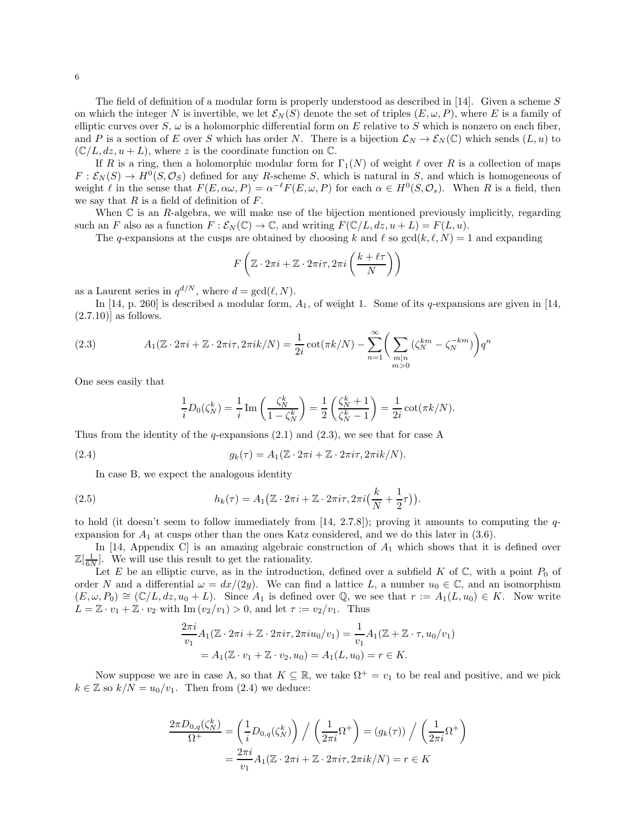The field of definition of a modular form is properly understood as described in [14]. Given a scheme  $S$ on which the integer N is invertible, we let  $\mathcal{E}_N(S)$  denote the set of triples  $(E, \omega, P)$ , where E is a family of elliptic curves over  $S$ ,  $\omega$  is a holomorphic differential form on E relative to S which is nonzero on each fiber, and P is a section of E over S which has order N. There is a bijection  $\mathcal{L}_N \to \mathcal{E}_N(\mathbb{C})$  which sends  $(L, u)$  to  $(\mathbb{C}/L, dz, u+L)$ , where z is the coordinate function on  $\mathbb{C}$ .

If R is a ring, then a holomorphic modular form for  $\Gamma_1(N)$  of weight  $\ell$  over R is a collection of maps  $F: \mathcal{E}_N(S) \to H^0(S, \mathcal{O}_S)$  defined for any R-scheme S, which is natural in S, and which is homogeneous of weight  $\ell$  in the sense that  $F(E, \alpha\omega, P) = \alpha^{-\ell} F(E, \omega, P)$  for each  $\alpha \in H^0(S, \mathcal{O}_s)$ . When R is a field, then we say that  $R$  is a field of definition of  $F$ .

When  $\mathbb C$  is an R-algebra, we will make use of the bijection mentioned previously implicitly, regarding such an F also as a function  $F : \mathcal{E}_N(\mathbb{C}) \to \mathbb{C}$ , and writing  $F(\mathbb{C}/L, dz, u + L) = F(L, u)$ .

The q-expansions at the cusps are obtained by choosing k and  $\ell$  so  $gcd(k, \ell, N) = 1$  and expanding

$$
F\left(\mathbb{Z}\cdot 2\pi i+\mathbb{Z}\cdot 2\pi i\tau,2\pi i\left(\frac{k+\ell\tau}{N}\right)\right)
$$

as a Laurent series in  $q^{d/N}$ , where  $d = \gcd(\ell, N)$ .

In [14, p. 260] is described a modular form,  $A_1$ , of weight 1. Some of its q-expansions are given in [14,  $(2.7.10)$ ] as follows.

(2.3) 
$$
A_1(\mathbb{Z} \cdot 2\pi i + \mathbb{Z} \cdot 2\pi i \tau, 2\pi i k/N) = \frac{1}{2i} \cot(\pi k/N) - \sum_{n=1}^{\infty} \left( \sum_{\substack{m|n \\ m>0}} (\zeta_N^{km} - \zeta_N^{-km}) \right) q^n
$$

One sees easily that

$$
\frac{1}{i}D_0(\zeta_N^k) = \frac{1}{i} \operatorname{Im} \left( \frac{\zeta_N^k}{1 - \zeta_N^k} \right) = \frac{1}{2} \left( \frac{\zeta_N^k + 1}{\zeta_N^k - 1} \right) = \frac{1}{2i} \cot(\pi k/N).
$$

Thus from the identity of the q-expansions  $(2.1)$  and  $(2.3)$ , we see that for case A

(2.4) 
$$
g_k(\tau) = A_1(\mathbb{Z} \cdot 2\pi i + \mathbb{Z} \cdot 2\pi i \tau, 2\pi i k/N).
$$

In case B, we expect the analogous identity

(2.5) 
$$
h_k(\tau) = A_1 \big( \mathbb{Z} \cdot 2\pi i + \mathbb{Z} \cdot 2\pi i \tau, 2\pi i \big( \frac{k}{N} + \frac{1}{2}\tau \big) \big).
$$

to hold (it doesn't seem to follow immediately from  $[14, 2.7.8]$ ); proving it amounts to computing the qexpansion for  $A_1$  at cusps other than the ones Katz considered, and we do this later in  $(3.6)$ .

In [14, Appendix C] is an amazing algebraic construction of  $A_1$  which shows that it is defined over  $\mathbb{Z}[\frac{1}{6N}]$ . We will use this result to get the rationality.

Let E be an elliptic curve, as in the introduction, defined over a subfield K of  $\mathbb C$ , with a point  $P_0$  of order N and a differential  $\omega = dx/(2y)$ . We can find a lattice L, a number  $u_0 \in \mathbb{C}$ , and an isomorphism  $(E,\omega,P_0) \cong (\mathbb{C}/L,dz,u_0+L)$ . Since  $A_1$  is defined over Q, we see that  $r := A_1(L,u_0) \in K$ . Now write  $L = \mathbb{Z} \cdot v_1 + \mathbb{Z} \cdot v_2$  with  $\text{Im}(v_2/v_1) > 0$ , and let  $\tau := v_2/v_1$ . Thus

$$
\frac{2\pi i}{v_1} A_1(\mathbb{Z} \cdot 2\pi i + \mathbb{Z} \cdot 2\pi i \tau, 2\pi i u_0/v_1) = \frac{1}{v_1} A_1(\mathbb{Z} + \mathbb{Z} \cdot \tau, u_0/v_1)
$$
  
=  $A_1(\mathbb{Z} \cdot v_1 + \mathbb{Z} \cdot v_2, u_0) = A_1(L, u_0) = r \in K.$ 

Now suppose we are in case A, so that  $K \subseteq \mathbb{R}$ , we take  $\Omega^+ = v_1$  to be real and positive, and we pick  $k \in \mathbb{Z}$  so  $k/N = u_0/v_1$ . Then from (2.4) we deduce:

$$
\frac{2\pi D_{0,q}(\zeta_N^k)}{\Omega^+} = \left(\frac{1}{i}D_{0,q}(\zeta_N^k)\right) / \left(\frac{1}{2\pi i}\Omega^+\right) = (g_k(\tau)) / \left(\frac{1}{2\pi i}\Omega^+\right)
$$

$$
= \frac{2\pi i}{v_1}A_1(\mathbb{Z}\cdot 2\pi i + \mathbb{Z}\cdot 2\pi i\tau, 2\pi i k/N) = r \in K
$$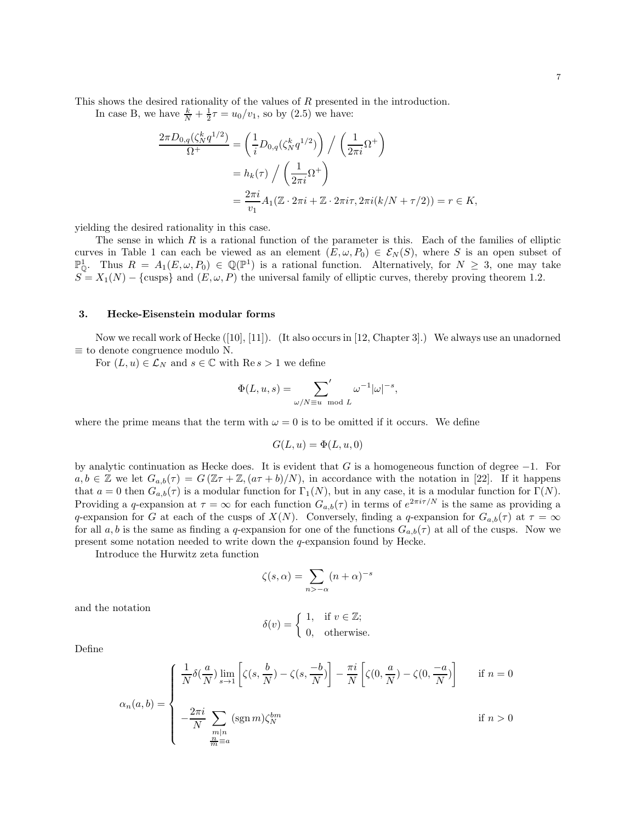This shows the desired rationality of the values of R presented in the introduction.

In case B, we have  $\frac{k}{N} + \frac{1}{2}\tau = u_0/v_1$ , so by (2.5) we have:

$$
\frac{2\pi D_{0,q}(\zeta_N^k q^{1/2})}{\Omega^+} = \left(\frac{1}{i} D_{0,q}(\zeta_N^k q^{1/2})\right) / \left(\frac{1}{2\pi i} \Omega^+\right)
$$

$$
= h_k(\tau) / \left(\frac{1}{2\pi i} \Omega^+\right)
$$

$$
= \frac{2\pi i}{v_1} A_1(\mathbb{Z} \cdot 2\pi i + \mathbb{Z} \cdot 2\pi i \tau, 2\pi i(k/N + \tau/2)) = r \in K,
$$

yielding the desired rationality in this case.

The sense in which  $R$  is a rational function of the parameter is this. Each of the families of elliptic curves in Table 1 can each be viewed as an element  $(E, \omega, P_0) \in \mathcal{E}_N(S)$ , where S is an open subset of  $\mathbb{P}^1_{\mathbb{Q}}$ . Thus  $R = A_1(E, \omega, P_0) \in \mathbb{Q}(\mathbb{P}^1)$  is a rational function. Alternatively, for  $N \geq 3$ , one may take  $S = X_1(N) - \{\text{cusps}\}\$ and  $(E, \omega, P)$  the universal family of elliptic curves, thereby proving theorem 1.2.

## 3. Hecke-Eisenstein modular forms

Now we recall work of Hecke ([10], [11]). (It also occurs in [12, Chapter 3].) We always use an unadorned  $\equiv$  to denote congruence modulo N.

For  $(L, u) \in \mathcal{L}_N$  and  $s \in \mathbb{C}$  with Re  $s > 1$  we define

$$
\Phi(L, u, s) = \sum_{\omega/N \equiv u \mod L} ' \omega^{-1} |\omega|^{-s},
$$

where the prime means that the term with  $\omega = 0$  is to be omitted if it occurs. We define

$$
G(L, u) = \Phi(L, u, 0)
$$

by analytic continuation as Hecke does. It is evident that G is a homogeneous function of degree  $-1$ . For  $a, b \in \mathbb{Z}$  we let  $G_{a,b}(\tau) = G(\mathbb{Z}\tau + \mathbb{Z}, (a\tau + b)/N)$ , in accordance with the notation in [22]. If it happens that  $a = 0$  then  $G_{a,b}(\tau)$  is a modular function for  $\Gamma_1(N)$ , but in any case, it is a modular function for  $\Gamma(N)$ . Providing a q-expansion at  $\tau = \infty$  for each function  $G_{a,b}(\tau)$  in terms of  $e^{2\pi i \tau/N}$  is the same as providing a q-expansion for G at each of the cusps of  $X(N)$ . Conversely, finding a q-expansion for  $G_{a,b}(\tau)$  at  $\tau = \infty$ for all a, b is the same as finding a q-expansion for one of the functions  $G_{a,b}(\tau)$  at all of the cusps. Now we present some notation needed to write down the q-expansion found by Hecke.

Introduce the Hurwitz zeta function

$$
\zeta(s,\alpha) = \sum_{n>-\alpha} (n+\alpha)^{-s}
$$

and the notation

$$
\delta(v) = \begin{cases} 1, & \text{if } v \in \mathbb{Z}; \\ 0, & \text{otherwise.} \end{cases}
$$

Define

$$
\alpha_n(a,b) = \begin{cases} \frac{1}{N} \delta\left(\frac{a}{N}\right) \lim_{s \to 1} \left[ \zeta(s, \frac{b}{N}) - \zeta(s, \frac{-b}{N}) \right] - \frac{\pi i}{N} \left[ \zeta(0, \frac{a}{N}) - \zeta(0, \frac{-a}{N}) \right] & \text{if } n = 0 \\ -\frac{2\pi i}{N} \sum_{\substack{m|n \\ m \equiv a}} (\text{sgn } m) \zeta_m^{bm} & \text{if } n > 0 \end{cases}
$$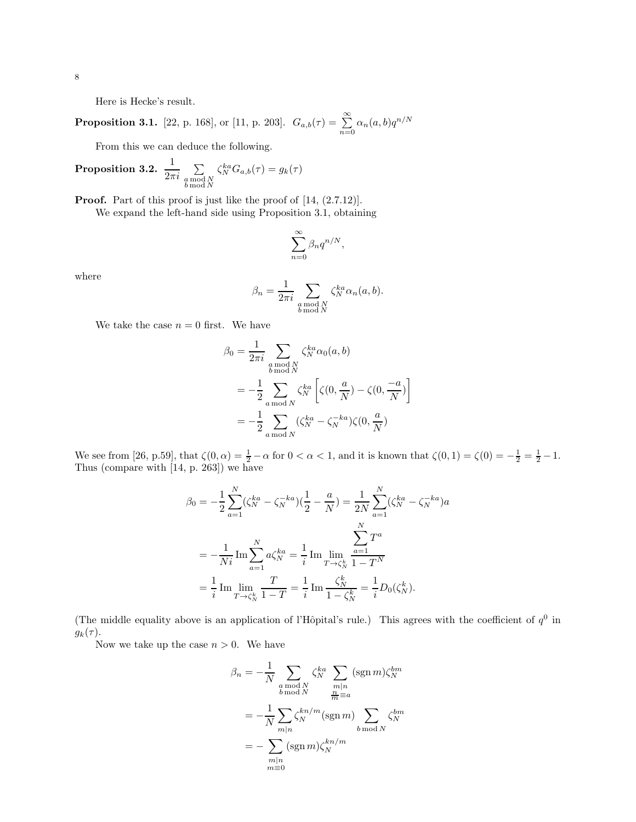Here is Hecke's result.

**Proposition 3.1.** [22, p. 168], or [11, p. 203].  $G_{a,b}(\tau) = \sum_{n=0}^{\infty} \alpha_n(a,b) q^{n/N}$ 

From this we can deduce the following.

**Proposition 3.2.** 
$$
\frac{1}{2\pi i} \sum_{\substack{a \bmod N \\ b \bmod N}} \zeta_N^{ka} G_{a,b}(\tau) = g_k(\tau)
$$

**Proof.** Part of this proof is just like the proof of  $[14, (2.7.12)].$ 

We expand the left-hand side using Proposition 3.1, obtaining

$$
\sum_{n=0}^{\infty} \beta_n q^{n/N},
$$

where

$$
\beta_n = \frac{1}{2\pi i} \sum_{\substack{a \bmod N \\ b \bmod N}} \zeta_N^{ka} \alpha_n(a, b).
$$

We take the case  $n = 0$  first. We have

$$
\beta_0 = \frac{1}{2\pi i} \sum_{\substack{a \bmod N \\ b \bmod N}} \zeta_N^{ka} \alpha_0(a, b)
$$
  
= 
$$
-\frac{1}{2} \sum_{a \bmod N} \zeta_N^{ka} \left[ \zeta(0, \frac{a}{N}) - \zeta(0, \frac{-a}{N}) \right]
$$
  
= 
$$
-\frac{1}{2} \sum_{a \bmod N} (\zeta_N^{ka} - \zeta_N^{-ka}) \zeta(0, \frac{a}{N})
$$

We see from [26, p.59], that  $\zeta(0, \alpha) = \frac{1}{2} - \alpha$  for  $0 < \alpha < 1$ , and it is known that  $\zeta(0, 1) = \zeta(0) = -\frac{1}{2} = \frac{1}{2} - 1$ . Thus (compare with [14, p. 263]) we have

$$
\beta_0 = -\frac{1}{2} \sum_{a=1}^N (\zeta_N^{ka} - \zeta_N^{-ka}) (\frac{1}{2} - \frac{a}{N}) = \frac{1}{2N} \sum_{a=1}^N (\zeta_N^{ka} - \zeta_N^{-ka}) a
$$

$$
= -\frac{1}{Ni} \operatorname{Im} \sum_{a=1}^N a \zeta_N^{ka} = \frac{1}{i} \operatorname{Im} \lim_{T \to \zeta_N^k} \frac{\sum_{a=1}^N T^a}{1 - T^N}
$$

$$
= \frac{1}{i} \operatorname{Im} \lim_{T \to \zeta_N^k} \frac{T}{1 - T} = \frac{1}{i} \operatorname{Im} \frac{\zeta_N^k}{1 - \zeta_N^k} = \frac{1}{i} D_0(\zeta_N^k).
$$

(The middle equality above is an application of l'Hôpital's rule.) This agrees with the coefficient of  $q<sup>0</sup>$  in  $g_k(\tau)$ .

Now we take up the case  $n > 0$ . We have

$$
\beta_n = -\frac{1}{N} \sum_{\substack{a \bmod N \\ b \bmod N}} \zeta_N^{ka} \sum_{\substack{m|n \\ m \equiv a \\ m \equiv a}} (\operatorname{sgn} m) \zeta_N^{bm} \n= -\frac{1}{N} \sum_{m|n} \zeta_N^{kn/m} (\operatorname{sgn} m) \sum_{b \bmod N} \zeta_N^{bm} \n= -\sum_{\substack{m|n \\ m \equiv 0}} (\operatorname{sgn} m) \zeta_N^{kn/m}
$$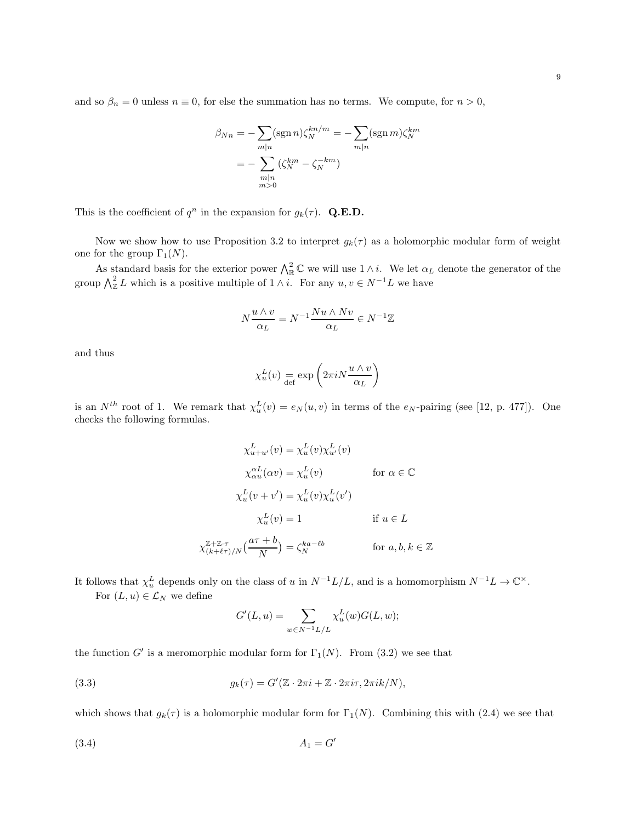and so  $\beta_n = 0$  unless  $n \equiv 0$ , for else the summation has no terms. We compute, for  $n > 0$ ,

$$
\beta_{Nn} = -\sum_{m|n} (\operatorname{sgn} n)\zeta_N^{kn/m} = -\sum_{m|n} (\operatorname{sgn} m)\zeta_N^{km}
$$

$$
= -\sum_{\substack{m|n\\m>0}} (\zeta_N^{km} - \zeta_N^{-km})
$$

This is the coefficient of  $q^n$  in the expansion for  $g_k(\tau)$ . Q.E.D.

Now we show how to use Proposition 3.2 to interpret  $g_k(\tau)$  as a holomorphic modular form of weight one for the group  $\Gamma_1(N)$ .

As standard basis for the exterior power  $\bigwedge_{\mathbb{R}}^2 \mathbb{C}$  we will use  $1 \wedge i$ . We let  $\alpha_L$  denote the generator of the group  $\bigwedge_{\mathbb{Z}}^2 L$  which is a positive multiple of  $1 \wedge i$ . For any  $u, v \in N^{-1}L$  we have

$$
N\frac{u \wedge v}{\alpha_L} = N^{-1}\frac{Nu \wedge Nv}{\alpha_L} \in N^{-1}\mathbb{Z}
$$

and thus

$$
\chi_u^L(v) = \exp\left(2\pi i N \frac{u \wedge v}{\alpha_L}\right)
$$

is an  $N^{th}$  root of 1. We remark that  $\chi_u^L(v) = e_N(u, v)$  in terms of the  $e_N$ -pairing (see [12, p. 477]). One checks the following formulas.

$$
\chi_{u+u'}^L(v) = \chi_u^L(v)\chi_{u'}^L(v)
$$
  
\n
$$
\chi_{\alpha u}^{\alpha L}(\alpha v) = \chi_u^L(v)
$$
 for  $\alpha \in \mathbb{C}$   
\n
$$
\chi_u^L(v + v') = \chi_u^L(v)\chi_u^L(v')
$$
  
\n
$$
\chi_u^L(v) = 1
$$
 if  $u \in L$   
\n
$$
\chi_{(k+\ell\tau)/N}^{\mathbb{Z}+\mathbb{Z}\cdot\tau}(\frac{a\tau+b}{N}) = \zeta_N^{ka-\ell b}
$$
 for  $a, b, k \in \mathbb{Z}$ 

It follows that  $\chi_u^L$  depends only on the class of u in  $N^{-1}L/L$ , and is a homomorphism  $N^{-1}L \to \mathbb{C}^{\times}$ . For  $(L, u) \in \mathcal{L}_N$  we define

$$
G'(L, u) = \sum_{w \in N^{-1}L/L} \chi_u^L(w) G(L, w);
$$

the function G' is a meromorphic modular form for  $\Gamma_1(N)$ . From (3.2) we see that

(3.3) 
$$
g_k(\tau) = G'(\mathbb{Z} \cdot 2\pi i + \mathbb{Z} \cdot 2\pi i \tau, 2\pi i k/N),
$$

which shows that  $g_k(\tau)$  is a holomorphic modular form for  $\Gamma_1(N)$ . Combining this with (2.4) we see that

$$
(3.4) \t\t A1 = G'
$$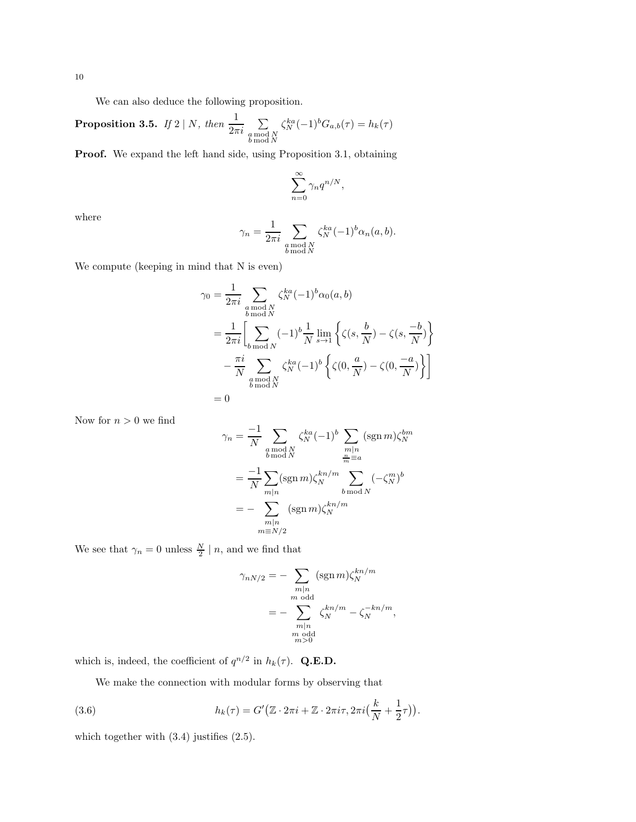We can also deduce the following proposition.

**Proposition 3.5.** If 
$$
2 \mid N
$$
, then  $\frac{1}{2\pi i} \sum_{\substack{a \bmod N \\ b \bmod N}} \zeta_N^{ka}(-1)^b G_{a,b}(\tau) = h_k(\tau)$ 

Proof. We expand the left hand side, using Proposition 3.1, obtaining

$$
\sum_{n=0}^{\infty} \gamma_n q^{n/N},
$$

where

$$
\gamma_n = \frac{1}{2\pi i} \sum_{\substack{a \bmod N \\ b \bmod N}} \zeta_N^{ka} (-1)^b \alpha_n(a, b).
$$

We compute (keeping in mind that N is even)

$$
\gamma_0 = \frac{1}{2\pi i} \sum_{\substack{a \bmod N \\ b \bmod N}} \zeta_N^{ka} (-1)^b \alpha_0(a, b)
$$
  
= 
$$
\frac{1}{2\pi i} \Biggl[ \sum_{\substack{b \bmod N \\ b \bmod N}} (-1)^b \frac{1}{N} \lim_{s \to 1} \left\{ \zeta(s, \frac{b}{N}) - \zeta(s, \frac{-b}{N}) \right\}
$$
  

$$
- \frac{\pi i}{N} \sum_{\substack{a \bmod N \\ b \bmod N}} \zeta_N^{ka} (-1)^b \left\{ \zeta(0, \frac{a}{N}) - \zeta(0, \frac{-a}{N}) \right\} \Biggr]
$$
  
= 0

Now for  $n>0$  we find

$$
\gamma_n = \frac{-1}{N} \sum_{\substack{a \bmod N \\ b \bmod N}} \zeta_N^{ka} (-1)^b \sum_{\substack{m|n \\ \frac{m}{m} \equiv a}} (\text{sgn } m) \zeta_N^{bm}
$$

$$
= \frac{-1}{N} \sum_{m|n} (\text{sgn } m) \zeta_N^{kn/m} \sum_{\substack{b \bmod N \\ b \bmod N}} (-\zeta_N^m)^b
$$

$$
= - \sum_{\substack{m|n \\ m \equiv N/2}} (\text{sgn } m) \zeta_N^{kn/m}
$$

We see that  $\gamma_n = 0$  unless  $\frac{N}{2} \mid n$ , and we find that

$$
\gamma_{nN/2} = -\sum_{\substack{m|n \text{odd} \\ m \text{ odd}}} (\text{sgn } m) \zeta_N^{kn/m}
$$

$$
= -\sum_{\substack{m|n \text{odd} \\ m \text{ odd}}} \zeta_N^{kn/m} - \zeta_N^{-kn/m},
$$

which is, indeed, the coefficient of  $q^{n/2}$  in  $h_k(\tau)$ . Q.E.D.

We make the connection with modular forms by observing that

(3.6) 
$$
h_k(\tau) = G'(\mathbb{Z} \cdot 2\pi i + \mathbb{Z} \cdot 2\pi i \tau, 2\pi i (\frac{k}{N} + \frac{1}{2}\tau)).
$$

which together with  $(3.4)$  justifies  $(2.5)$ .

10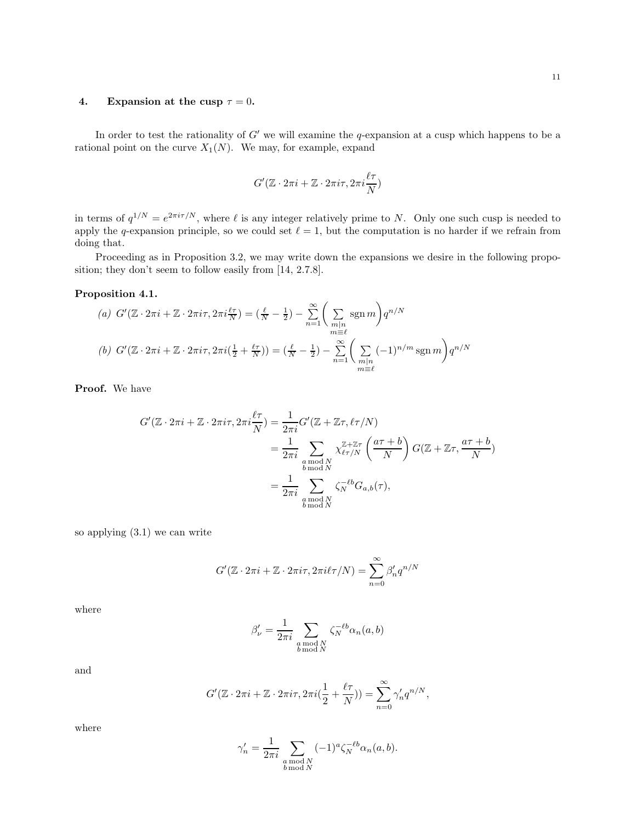# 4. Expansion at the cusp  $\tau = 0$ .

In order to test the rationality of  $G'$  we will examine the q-expansion at a cusp which happens to be a rational point on the curve  $X_1(N)$ . We may, for example, expand

$$
G'(\mathbb{Z}\cdot 2\pi i+\mathbb{Z}\cdot 2\pi i\tau,2\pi i\frac{\ell\tau}{N})
$$

in terms of  $q^{1/N} = e^{2\pi i \tau/N}$ , where  $\ell$  is any integer relatively prime to N. Only one such cusp is needed to apply the q-expansion principle, so we could set  $\ell = 1$ , but the computation is no harder if we refrain from doing that.

Proceeding as in Proposition 3.2, we may write down the expansions we desire in the following proposition; they don't seem to follow easily from [14, 2.7.8].

# Proposition 4.1.

(a) 
$$
G'(\mathbb{Z} \cdot 2\pi i + \mathbb{Z} \cdot 2\pi i \tau, 2\pi i \frac{\ell \tau}{N}) = \left(\frac{\ell}{N} - \frac{1}{2}\right) - \sum_{n=1}^{\infty} \left(\sum_{\substack{m|n \\ m \equiv \ell}} \text{sgn } m\right) q^{n/N}
$$
  
\n(b)  $G'(\mathbb{Z} \cdot 2\pi i + \mathbb{Z} \cdot 2\pi i \tau, 2\pi i (\frac{1}{2} + \frac{\ell \tau}{N})) = \left(\frac{\ell}{N} - \frac{1}{2}\right) - \sum_{n=1}^{\infty} \left(\sum_{\substack{m|n \\ m \equiv \ell}} (-1)^{n/m} \text{sgn } m\right) q^{n/N}$ 

Proof. We have

$$
G'(\mathbb{Z} \cdot 2\pi i + \mathbb{Z} \cdot 2\pi i \tau, 2\pi i \frac{\ell \tau}{N}) = \frac{1}{2\pi i} G'(\mathbb{Z} + \mathbb{Z}\tau, \ell \tau/N)
$$
  
= 
$$
\frac{1}{2\pi i} \sum_{\substack{a \bmod N \\ b \bmod N}} \chi_{\ell \tau/N}^{\mathbb{Z} + \mathbb{Z}\tau} \left( \frac{a\tau + b}{N} \right) G(\mathbb{Z} + \mathbb{Z}\tau, \frac{a\tau + b}{N})
$$
  
= 
$$
\frac{1}{2\pi i} \sum_{\substack{a \bmod N \\ b \bmod N}} \zeta_N^{-\ell b} G_{a,b}(\tau),
$$

so applying (3.1) we can write

$$
G'(\mathbb{Z} \cdot 2\pi i + \mathbb{Z} \cdot 2\pi i \tau, 2\pi i \ell \tau/N) = \sum_{n=0}^{\infty} \beta'_n q^{n/N}
$$

where

$$
\beta'_{\nu} = \frac{1}{2\pi i} \sum_{\substack{a \bmod N \\ b \bmod N}} \zeta_N^{-\ell b} \alpha_n(a, b)
$$

and

$$
G'(\mathbb{Z} \cdot 2\pi i + \mathbb{Z} \cdot 2\pi i \tau, 2\pi i (\frac{1}{2} + \frac{\ell \tau}{N})) = \sum_{n=0}^{\infty} \gamma'_n q^{n/N},
$$

where

$$
\gamma_n' = \frac{1}{2\pi i} \sum_{\substack{a \bmod N \\ b \bmod N}} (-1)^a \zeta_N^{-\ell b} \alpha_n(a, b).
$$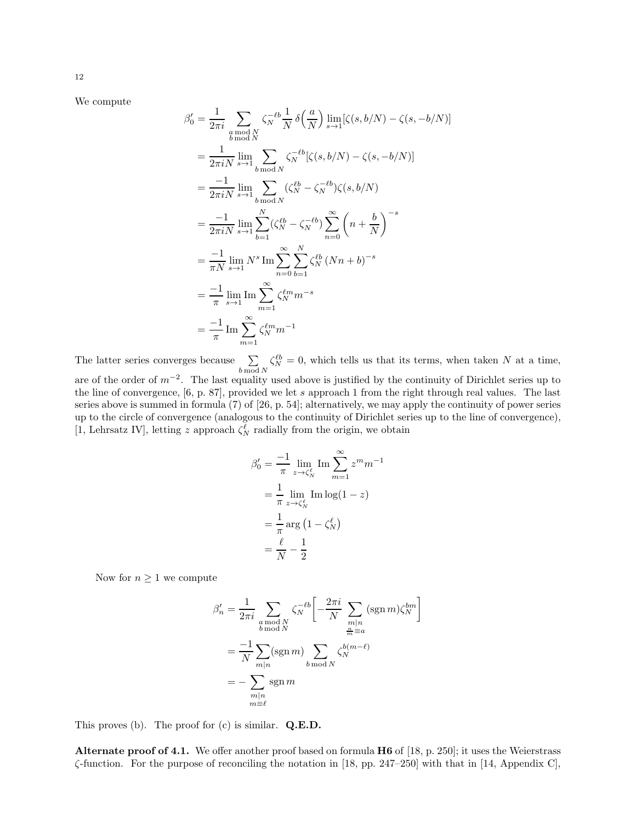We compute

$$
\beta'_{0} = \frac{1}{2\pi i} \sum_{\substack{a \bmod N \\ b \bmod N}} \zeta_{N}^{-\ell b} \frac{1}{N} \delta\left(\frac{a}{N}\right) \lim_{s \to 1} [\zeta(s, b/N) - \zeta(s, -b/N)]
$$
  
\n
$$
= \frac{1}{2\pi i N} \lim_{s \to 1} \sum_{b \bmod N} \zeta_{N}^{-\ell b} [\zeta(s, b/N) - \zeta(s, -b/N)]
$$
  
\n
$$
= \frac{-1}{2\pi i N} \lim_{s \to 1} \sum_{b \bmod N} (\zeta_{N}^{\ell b} - \zeta_{N}^{-\ell b}) \zeta(s, b/N)
$$
  
\n
$$
= \frac{-1}{2\pi i N} \lim_{s \to 1} \sum_{b=1}^{N} (\zeta_{N}^{\ell b} - \zeta_{N}^{-\ell b}) \sum_{n=0}^{\infty} \left(n + \frac{b}{N}\right)^{-s}
$$
  
\n
$$
= \frac{-1}{\pi N} \lim_{s \to 1} N^{s} \operatorname{Im} \sum_{n=0}^{\infty} \sum_{b=1}^{N} \zeta_{N}^{\ell b} (Nn + b)^{-s}
$$
  
\n
$$
= \frac{-1}{\pi} \lim_{s \to 1} \operatorname{Im} \sum_{m=1}^{\infty} \zeta_{N}^{\ell m} m^{-s}
$$
  
\n
$$
= \frac{-1}{\pi} \operatorname{Im} \sum_{m=1}^{\infty} \zeta_{N}^{\ell m} m^{-1}
$$

The latter series converges because  $\sum$  $b \mod N$  $\zeta_N^{\ell b} = 0$ , which tells us that its terms, when taken N at a time, are of the order of  $m^{-2}$ . The last equality used above is justified by the continuity of Dirichlet series up to the line of convergence, [6, p. 87], provided we let s approach 1 from the right through real values. The last series above is summed in formula (7) of [26, p. 54]; alternatively, we may apply the continuity of power series up to the circle of convergence (analogous to the continuity of Dirichlet series up to the line of convergence), [1, Lehrsatz IV], letting z approach  $\zeta_N^{\ell}$  radially from the origin, we obtain

$$
\beta'_0 = \frac{-1}{\pi} \lim_{z \to \zeta_N^{\ell}} \operatorname{Im} \sum_{m=1}^{\infty} z^m m^{-1}
$$

$$
= \frac{1}{\pi} \lim_{z \to \zeta_N^{\ell}} \operatorname{Im} \log(1 - z)
$$

$$
= \frac{1}{\pi} \operatorname{arg} (1 - \zeta_N^{\ell})
$$

$$
= \frac{\ell}{N} - \frac{1}{2}
$$

Now for  $n \geq 1$  we compute

$$
\beta'_{n} = \frac{1}{2\pi i} \sum_{\substack{a \bmod N \\ b \bmod N}} \zeta_{N}^{-\ell b} \left[ -\frac{2\pi i}{N} \sum_{\substack{m|n \\ \frac{n}{m} \equiv a}} (\text{sgn } m) \zeta_{N}^{bm} \right]
$$

$$
= \frac{-1}{N} \sum_{m|n} (\text{sgn } m) \sum_{b \bmod N} \zeta_{N}^{b(m-\ell)}
$$

$$
= -\sum_{\substack{m|n \\ m \equiv \ell}} \text{sgn } m
$$

This proves (b). The proof for  $(c)$  is similar.  $Q.E.D.$ 

Alternate proof of 4.1. We offer another proof based on formula  $H6$  of [18, p. 250]; it uses the Weierstrass  $\zeta$ -function. For the purpose of reconciling the notation in [18, pp. 247–250] with that in [14, Appendix C],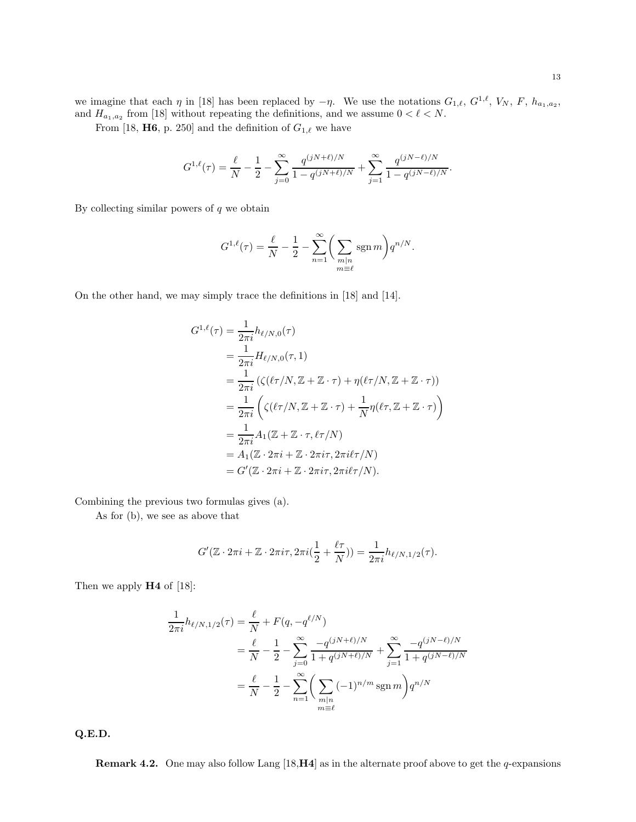we imagine that each  $\eta$  in [18] has been replaced by  $-\eta$ . We use the notations  $G_{1,\ell}, G^{1,\ell}, V_N, F, h_{a_1,a_2}$ , and  $H_{a_1,a_2}$  from [18] without repeating the definitions, and we assume  $0 < \ell < N$ .

From [18, **H6**, p. 250] and the definition of  $G_{1,\ell}$  we have

$$
G^{1,\ell}(\tau) = \frac{\ell}{N} - \frac{1}{2} - \sum_{j=0}^{\infty} \frac{q^{(jN+\ell)/N}}{1 - q^{(jN+\ell)/N}} + \sum_{j=1}^{\infty} \frac{q^{(jN-\ell)/N}}{1 - q^{(jN-\ell)/N}}.
$$

By collecting similar powers of  $q$  we obtain

$$
G^{1,\ell}(\tau) = \frac{\ell}{N} - \frac{1}{2} - \sum_{n=1}^{\infty} \bigg( \sum_{\substack{m|n \\ m \equiv \ell}} \operatorname{sgn} m \bigg) q^{n/N}.
$$

On the other hand, we may simply trace the definitions in [18] and [14].

$$
G^{1,\ell}(\tau) = \frac{1}{2\pi i} h_{\ell/N,0}(\tau)
$$
  
= 
$$
\frac{1}{2\pi i} H_{\ell/N,0}(\tau,1)
$$
  
= 
$$
\frac{1}{2\pi i} (\zeta(\ell\tau/N, \mathbb{Z} + \mathbb{Z} \cdot \tau) + \eta(\ell\tau/N, \mathbb{Z} + \mathbb{Z} \cdot \tau))
$$
  
= 
$$
\frac{1}{2\pi i} \left( \zeta(\ell\tau/N, \mathbb{Z} + \mathbb{Z} \cdot \tau) + \frac{1}{N} \eta(\ell\tau, \mathbb{Z} + \mathbb{Z} \cdot \tau) \right)
$$
  
= 
$$
\frac{1}{2\pi i} A_1(\mathbb{Z} + \mathbb{Z} \cdot \tau, \ell\tau/N)
$$
  
= 
$$
A_1(\mathbb{Z} \cdot 2\pi i + \mathbb{Z} \cdot 2\pi i\tau, 2\pi i\ell\tau/N)
$$
  
= 
$$
G'(\mathbb{Z} \cdot 2\pi i + \mathbb{Z} \cdot 2\pi i\tau, 2\pi i\ell\tau/N).
$$

Combining the previous two formulas gives (a).

As for (b), we see as above that

$$
G'(\mathbb{Z}\cdot 2\pi i+\mathbb{Z}\cdot 2\pi i\tau,2\pi i(\frac{1}{2}+\frac{\ell\tau}{N}))=\frac{1}{2\pi i}h_{\ell/N,1/2}(\tau).
$$

Then we apply  $H4$  of [18]:

$$
\frac{1}{2\pi i} h_{\ell/N, 1/2}(\tau) = \frac{\ell}{N} + F(q, -q^{\ell/N})
$$
\n
$$
= \frac{\ell}{N} - \frac{1}{2} - \sum_{j=0}^{\infty} \frac{-q^{(jN+\ell)/N}}{1 + q^{(jN+\ell)/N}} + \sum_{j=1}^{\infty} \frac{-q^{(jN-\ell)/N}}{1 + q^{(jN-\ell)/N}}
$$
\n
$$
= \frac{\ell}{N} - \frac{1}{2} - \sum_{n=1}^{\infty} \left( \sum_{\substack{m|n \ m \equiv \ell}} (-1)^{n/m} \operatorname{sgn} m \right) q^{n/N}
$$

Q.E.D.

**Remark 4.2.** One may also follow Lang [18,  $\mathbf{H4}$ ] as in the alternate proof above to get the q-expansions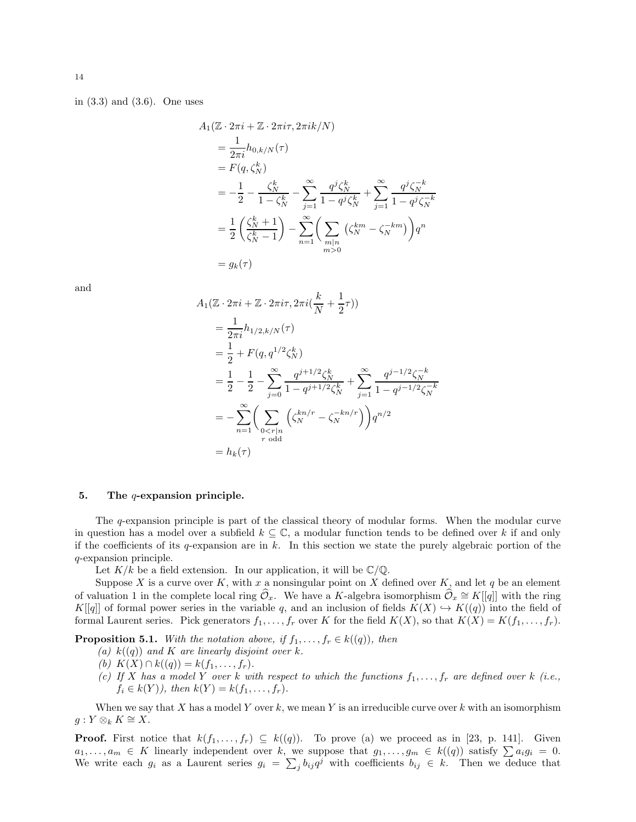in (3.3) and (3.6). One uses

$$
A_1(\mathbb{Z} \cdot 2\pi i + \mathbb{Z} \cdot 2\pi i \tau, 2\pi i k/N)
$$
  
=  $\frac{1}{2\pi i} h_{0,k/N}(\tau)$   
=  $F(q, \zeta_N^k)$   
=  $-\frac{1}{2} - \frac{\zeta_N^k}{1 - \zeta_N^k} - \sum_{j=1}^{\infty} \frac{q^j \zeta_N^k}{1 - q^j \zeta_N^k} + \sum_{j=1}^{\infty} \frac{q^j \zeta_N^{-k}}{1 - q^j \zeta_N^{-k}}$   
=  $\frac{1}{2} \left( \frac{\zeta_N^k + 1}{\zeta_N^k - 1} \right) - \sum_{n=1}^{\infty} \left( \sum_{\substack{m|n \ m>0}} (\zeta_N^{km} - \zeta_N^{-km}) \right) q^n$   
=  $g_k(\tau)$ 

and

$$
A_1(\mathbb{Z} \cdot 2\pi i + \mathbb{Z} \cdot 2\pi i \tau, 2\pi i (\frac{k}{N} + \frac{1}{2}\tau))
$$
  
\n
$$
= \frac{1}{2\pi i} h_{1/2,k/N}(\tau)
$$
  
\n
$$
= \frac{1}{2} + F(q, q^{1/2} \zeta_N^k)
$$
  
\n
$$
= \frac{1}{2} - \sum_{j=0}^{\infty} \frac{q^{j+1/2} \zeta_N^k}{1 - q^{j+1/2} \zeta_N^k} + \sum_{j=1}^{\infty} \frac{q^{j-1/2} \zeta_N^{-k}}{1 - q^{j-1/2} \zeta_N^{-k}}
$$
  
\n
$$
= - \sum_{n=1}^{\infty} \left( \sum_{\substack{0 < r|n \\ r \text{ odd}}} \left( \zeta_N^{kn/r} - \zeta_N^{-kn/r} \right) \right) q^{n/2}
$$
  
\n
$$
= h_k(\tau)
$$

#### 5. The  $q$ -expansion principle.

The q-expansion principle is part of the classical theory of modular forms. When the modular curve in question has a model over a subfield  $k \subseteq \mathbb{C}$ , a modular function tends to be defined over k if and only if the coefficients of its q-expansion are in k. In this section we state the purely algebraic portion of the q-expansion principle.

Let  $K/k$  be a field extension. In our application, it will be  $\mathbb{C}/\mathbb{Q}$ .

Suppose X is a curve over K, with x a nonsingular point on X defined over K, and let q be an element of valuation 1 in the complete local ring  $\widehat{\mathcal{O}}_x$ . We have a K-algebra isomorphism  $\widehat{\mathcal{O}}_x \cong K[[q]]$  with the ring  $K[[q]]$  of formal power series in the variable q, and an inclusion of fields  $K(X) \hookrightarrow K(q)$  into the field of formal Laurent series. Pick generators  $f_1, \ldots, f_r$  over K for the field  $K(X)$ , so that  $K(X) = K(f_1, \ldots, f_r)$ .

**Proposition 5.1.** With the notation above, if  $f_1, \ldots, f_r \in k((q))$ , then

- (a)  $k((q))$  and K are linearly disjoint over k.
- (b)  $K(X) \cap k((q)) = k(f_1, \ldots, f_r).$
- (c) If X has a model Y over k with respect to which the functions  $f_1, \ldots, f_r$  are defined over k (i.e.,  $f_i \in k(Y)$ , then  $k(Y) = k(f_1, ..., f_r)$ .

When we say that  $X$  has a model  $Y$  over  $k$ , we mean  $Y$  is an irreducible curve over  $k$  with an isomorphism  $g: Y \otimes_k K \cong X.$ 

**Proof.** First notice that  $k(f_1, \ldots, f_r) \subseteq k((q))$ . To prove (a) we proceed as in [23, p. 141]. Given  $a_1, \ldots, a_m \in K$  linearly independent over k, we suppose that  $g_1, \ldots, g_m \in k((q))$  satisfy  $\sum a_i g_i = 0$ . We write each  $g_i$  as a Laurent series  $g_i = \sum_j b_{ij} q^j$  with coefficients  $b_{ij} \in k$ . Then we deduce that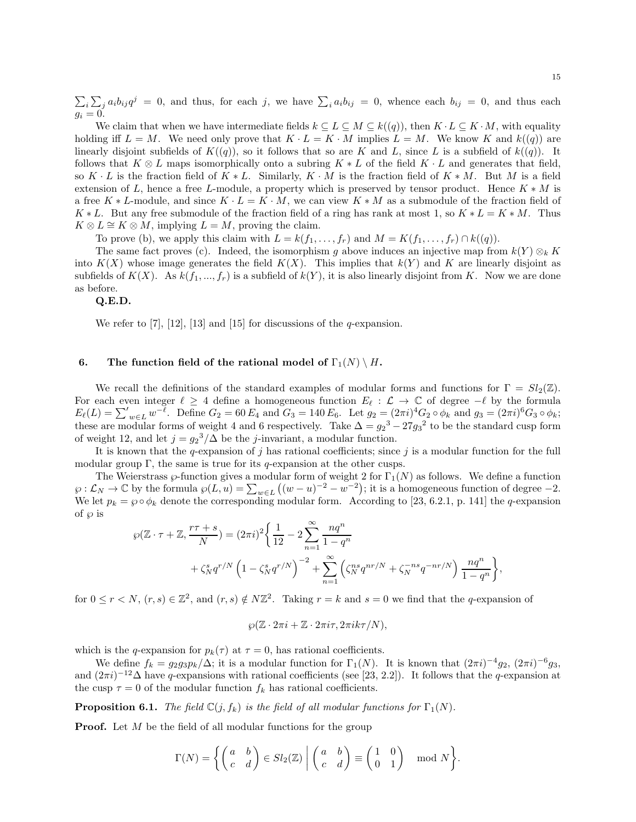$\sum_i \sum_j a_i b_{ij} q^j = 0$ , and thus, for each j, we have  $\sum_i a_i b_{ij} = 0$ , whence each  $b_{ij} = 0$ , and thus each  $g_i=0.$ 

We claim that when we have intermediate fields  $k \subseteq L \subseteq M \subseteq k((q))$ , then  $K \cdot L \subseteq K \cdot M$ , with equality holding iff  $L = M$ . We need only prove that  $K \cdot L = K \cdot M$  implies  $L = M$ . We know K and  $k((q))$  are linearly disjoint subfields of  $K((q))$ , so it follows that so are K and L, since L is a subfield of  $k((q))$ . It follows that  $K \otimes L$  maps isomorphically onto a subring  $K * L$  of the field  $K \cdot L$  and generates that field, so K  $\cdot$  L is the fraction field of  $K * L$ . Similarly,  $K \cdot M$  is the fraction field of  $K * M$ . But M is a field extension of L, hence a free L-module, a property which is preserved by tensor product. Hence  $K * M$  is a free K ∗ L-module, and since  $K \cdot L = K \cdot M$ , we can view  $K * M$  as a submodule of the fraction field of K \* L. But any free submodule of the fraction field of a ring has rank at most 1, so  $K * L = K * M$ . Thus  $K \otimes L \cong K \otimes M$ , implying  $L = M$ , proving the claim.

To prove (b), we apply this claim with  $L = k(f_1, \ldots, f_r)$  and  $M = K(f_1, \ldots, f_r) \cap k((q)).$ 

The same fact proves (c). Indeed, the isomorphism g above induces an injective map from  $k(Y) \otimes_k K$ into  $K(X)$  whose image generates the field  $K(X)$ . This implies that  $k(Y)$  and K are linearly disjoint as subfields of  $K(X)$ . As  $k(f_1, ..., f_r)$  is a subfield of  $k(Y)$ , it is also linearly disjoint from K. Now we are done as before.

## Q.E.D.

We refer to [7], [12], [13] and [15] for discussions of the  $q$ -expansion.

## 6. The function field of the rational model of  $\Gamma_1(N) \setminus H$ .

We recall the definitions of the standard examples of modular forms and functions for  $\Gamma = Sl_2(\mathbb{Z})$ . For each even integer  $\ell \geq 4$  define a homogeneous function  $E_{\ell} : \mathcal{L} \to \mathbb{C}$  of degree  $-\ell$  by the formula  $E_{\ell}(L) = \sum_{w \in L}^{\prime} w^{-\ell}$ . Define  $G_2 = 60 E_4$  and  $G_3 = 140 E_6$ . Let  $g_2 = (2\pi i)^4 G_2 \circ \phi_k$  and  $g_3 = (2\pi i)^6 G_3 \circ \phi_k$ ; these are modular forms of weight 4 and 6 respectively. Take  $\Delta = g_2^3 - 27g_3^2$  to be the standard cusp form of weight 12, and let  $j = g_2^3/\Delta$  be the j-invariant, a modular function.

It is known that the q-expansion of j has rational coefficients; since j is a modular function for the full modular group  $\Gamma$ , the same is true for its q-expansion at the other cusps.

The Weierstrass  $\wp$ -function gives a modular form of weight 2 for  $\Gamma_1(N)$  as follows. We define a function  $\wp: \mathcal{L}_N \to \mathbb{C}$  by the formula  $\wp(L, u) = \sum_{w \in L} ((w - u)^{-2} - w^{-2})$ ; it is a homogeneous function of degree  $-2$ . We let  $p_k = \wp \circ \phi_k$  denote the corresponding modular form. According to [23, 6.2.1, p. 141] the q-expansion of  $\wp$  is

$$
\wp(\mathbb{Z} \cdot \tau + \mathbb{Z}, \frac{r\tau + s}{N}) = (2\pi i)^2 \left\{ \frac{1}{12} - 2 \sum_{n=1}^{\infty} \frac{nq^n}{1 - q^n} + \zeta_N^s q^{r/N} \left( 1 - \zeta_N^s q^{r/N} \right)^{-2} + \sum_{n=1}^{\infty} \left( \zeta_N^{ns} q^{nr/N} + \zeta_N^{-ns} q^{-nr/N} \right) \frac{nq^n}{1 - q^n} \right\},
$$

for  $0 \le r \le N$ ,  $(r, s) \in \mathbb{Z}^2$ , and  $(r, s) \notin N\mathbb{Z}^2$ . Taking  $r = k$  and  $s = 0$  we find that the q-expansion of

$$
\wp(\mathbb{Z}\cdot 2\pi i+\mathbb{Z}\cdot 2\pi i\tau,2\pi i k\tau/N),
$$

which is the q-expansion for  $p_k(\tau)$  at  $\tau = 0$ , has rational coefficients.

We define  $f_k = g_2 g_3 p_k/\Delta$ ; it is a modular function for  $\Gamma_1(N)$ . It is known that  $(2\pi i)^{-4} g_2$ ,  $(2\pi i)^{-6} g_3$ , and  $(2\pi i)^{-12}\Delta$  have q-expansions with rational coefficients (see [23, 2.2]). It follows that the q-expansion at the cusp  $\tau = 0$  of the modular function  $f_k$  has rational coefficients.

**Proposition 6.1.** The field  $\mathbb{C}(j, f_k)$  is the field of all modular functions for  $\Gamma_1(N)$ .

**Proof.** Let M be the field of all modular functions for the group

$$
\Gamma(N) = \left\{ \begin{pmatrix} a & b \\ c & d \end{pmatrix} \in Sl_2(\mathbb{Z}) \middle| \begin{pmatrix} a & b \\ c & d \end{pmatrix} \equiv \begin{pmatrix} 1 & 0 \\ 0 & 1 \end{pmatrix} \mod N \right\}.
$$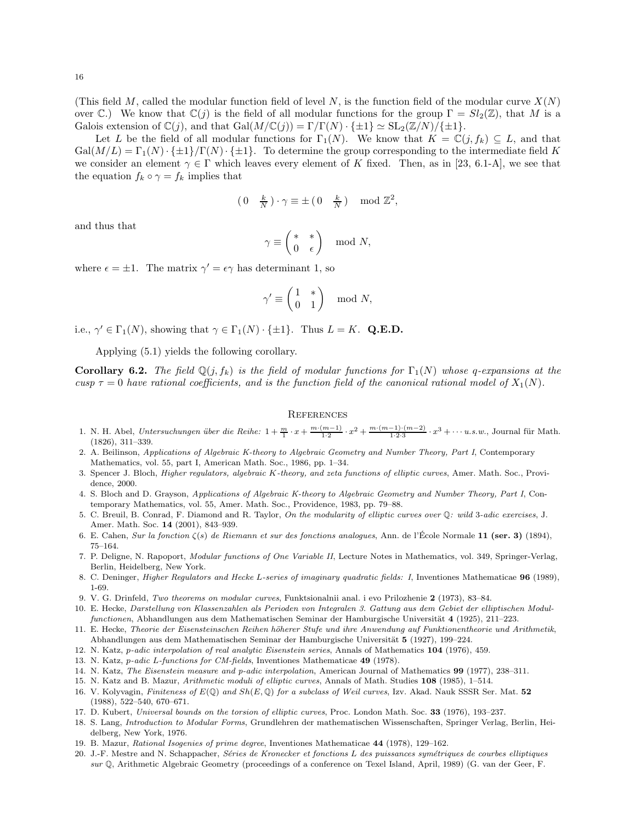(This field M, called the modular function field of level N, is the function field of the modular curve  $X(N)$ ) over C.) We know that  $\mathbb{C}(j)$  is the field of all modular functions for the group  $\Gamma = Sl_2(\mathbb{Z})$ , that M is a Galois extension of  $\mathbb{C}(j)$ , and that  $Gal(M/\mathbb{C}(j)) = \Gamma/\Gamma(N) \cdot {\{\pm 1\}} \simeq SL_2(\mathbb{Z}/N)/{\{\pm 1\}}$ .

Let L be the field of all modular functions for  $\Gamma_1(N)$ . We know that  $K = \mathbb{C}(j, f_k) \subseteq L$ , and that  $Gal(M/L) = \Gamma_1(N) \cdot {\pm 1} \Gamma(N) \cdot {\pm 1}.$  To determine the group corresponding to the intermediate field K we consider an element  $\gamma \in \Gamma$  which leaves every element of K fixed. Then, as in [23, 6.1-A], we see that the equation  $f_k \circ \gamma = f_k$  implies that

$$
(0 \quad \frac{k}{N}) \cdot \gamma \equiv \pm (0 \quad \frac{k}{N}) \mod \mathbb{Z}^2,
$$

and thus that

$$
\gamma \equiv \left(\begin{matrix} *&*\\ 0&\epsilon\end{matrix}\right) \mod N,
$$

where  $\epsilon = \pm 1$ . The matrix  $\gamma' = \epsilon \gamma$  has determinant 1, so

$$
\gamma'\equiv\begin{pmatrix}1&*\\0&1\end{pmatrix}\mod N,
$$

i.e.,  $\gamma' \in \Gamma_1(N)$ , showing that  $\gamma \in \Gamma_1(N) \cdot {\{\pm 1\}}$ . Thus  $L = K$ . Q.E.D.

Applying (5.1) yields the following corollary.

**Corollary 6.2.** The field  $\mathbb{Q}(j, f_k)$  is the field of modular functions for  $\Gamma_1(N)$  whose q-expansions at the cusp  $\tau = 0$  have rational coefficients, and is the function field of the canonical rational model of  $X_1(N)$ .

## **REFERENCES**

- 1. N. H. Abel, *Untersuchungen über die Reihe:*  $1 + \frac{m}{1} \cdot x + \frac{m \cdot (m-1)}{1 \cdot 2} \cdot x^2 + \frac{m \cdot (m-1) \cdot (m-2)}{1 \cdot 2 \cdot 3} \cdot x^3 + \cdots u$ .s.w., Journal für Math. (1826), 311–339.
- 2. A. Beilinson, *Applications of Algebraic K-theory to Algebraic Geometry and Number Theory, Part I*, Contemporary Mathematics, vol. 55, part I, American Math. Soc., 1986, pp. 1–34.
- 3. Spencer J. Bloch, *Higher regulators, algebraic* K*-theory, and zeta functions of elliptic curves*, Amer. Math. Soc., Providence, 2000.
- 4. S. Bloch and D. Grayson, *Applications of Algebraic K-theory to Algebraic Geometry and Number Theory, Part I*, Contemporary Mathematics, vol. 55, Amer. Math. Soc., Providence, 1983, pp. 79–88.
- 5. C. Breuil, B. Conrad, F. Diamond and R. Taylor, *On the modularity of elliptic curves over* Q*: wild* 3*-adic exercises*, J. Amer. Math. Soc. 14 (2001), 843–939.
- 6. E. Cahen, *Sur la fonction* ζ(s) *de Riemann et sur des fonctions analogues*, Ann. de l'École Normale 11 (ser. 3) (1894), 75–164.
- 7. P. Deligne, N. Rapoport, *Modular functions of One Variable II*, Lecture Notes in Mathematics, vol. 349, Springer-Verlag, Berlin, Heidelberg, New York.
- 8. C. Deninger, *Higher Regulators and Hecke* L*-series of imaginary quadratic fields: I*, Inventiones Mathematicae 96 (1989), 1-69.
- 9. V. G. Drinfeld, *Two theorems on modular curves*, Funktsionalnii anal. i evo Prilozhenie 2 (1973), 83–84.
- 10. E. Hecke, *Darstellung von Klassenzahlen als Perioden von Integralen 3. Gattung aus dem Gebiet der elliptischen Modulfunctionen*, Abhandlungen aus dem Mathematischen Seminar der Hamburgische Universität 4 (1925), 211–223.
- 11. E. Hecke, *Theorie der Eisensteinschen Reihen h¨oherer Stufe und ihre Anwendung auf Funktionentheorie und Arithmetik*, Abhandlungen aus dem Mathematischen Seminar der Hamburgische Universität 5 (1927), 199–224.
- 12. N. Katz, p*-adic interpolation of real analytic Eisenstein series*, Annals of Mathematics 104 (1976), 459.
- 13. N. Katz, p*-adic* L*-functions for CM-fields*, Inventiones Mathematicae 49 (1978).
- 14. N. Katz, *The Eisenstein measure and p-adic interpolation*, American Journal of Mathematics 99 (1977), 238–311.
- 15. N. Katz and B. Mazur, *Arithmetic moduli of elliptic curves*, Annals of Math. Studies 108 (1985), 1–514.
- 16. V. Kolyvagin, *Finiteness of* E(Q) *and* Sh(E, Q) *for a subclass of Weil curves*, Izv. Akad. Nauk SSSR Ser. Mat. 52 (1988), 522–540, 670–671.
- 17. D. Kubert, *Universal bounds on the torsion of elliptic curves*, Proc. London Math. Soc. 33 (1976), 193–237.
- 18. S. Lang, *Introduction to Modular Forms*, Grundlehren der mathematischen Wissenschaften, Springer Verlag, Berlin, Heidelberg, New York, 1976.
- 19. B. Mazur, *Rational Isogenies of prime degree*, Inventiones Mathematicae 44 (1978), 129–162.
- 20. J.-F. Mestre and N. Schappacher, *S´eries de Kronecker et fonctions* L *des puissances sym´etriques de courbes elliptiques sur* Q, Arithmetic Algebraic Geometry (proceedings of a conference on Texel Island, April, 1989) (G. van der Geer, F.